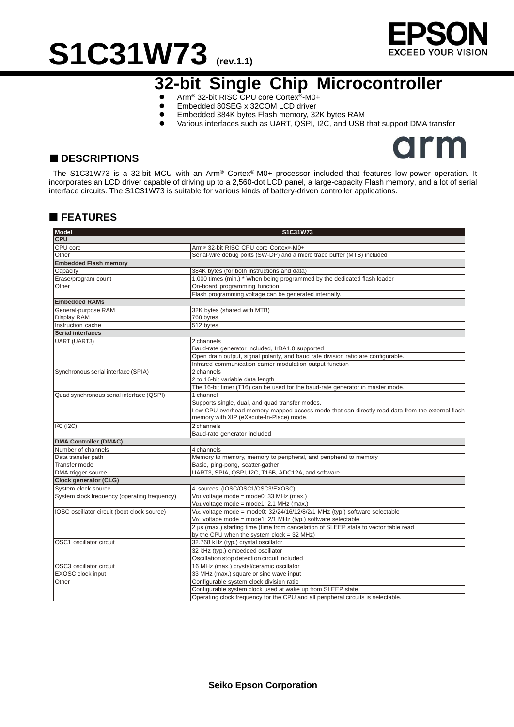# **S1C31W73 (rev.1.1)**



## **32-bit Single Chip Microcontroller**

- Arm<sup>®</sup> 32-bit RISC CPU core Cortex<sup>®</sup>-M0+<br>● Embedded 80SEG x 32COM LCD driver
- Embedded 80SEG x 32COM LCD driver<br>● Embedded 384K bytes Flash memory. 32
- Embedded 384K bytes Flash memory, 32K bytes RAM<br>● Various interfaces such as UART OSPL I2C, and USB
- Various interfaces such as UART, QSPI, I2C, and USB that support DMA transfer



#### ■ **DESCRIPTIONS**

The S1C31W73 is a 32-bit MCU with an Arm® Cortex®-M0+ processor included that features low-power operation. It incorporates an LCD driver capable of driving up to a 2,560-dot LCD panel, a large-capacity Flash memory, and a lot of serial interface circuits. The S1C31W73 is suitable for various kinds of battery-driven controller applications.

#### **FEATURES**

| <b>Model</b>                                 | S1C31W73                                                                                       |
|----------------------------------------------|------------------------------------------------------------------------------------------------|
| <b>CPU</b>                                   |                                                                                                |
| CPU core                                     | Arm <sup>®</sup> 32-bit RISC CPU core Cortex®-M0+                                              |
| Other                                        | Serial-wire debug ports (SW-DP) and a micro trace buffer (MTB) included                        |
| <b>Embedded Flash memory</b>                 |                                                                                                |
| Capacity                                     | 384K bytes (for both instructions and data)                                                    |
| Erase/program count                          | 1,000 times (min.) * When being programmed by the dedicated flash loader                       |
| Other                                        | On-board programming function                                                                  |
|                                              | Flash programming voltage can be generated internally.                                         |
| <b>Embedded RAMs</b>                         |                                                                                                |
| General-purpose RAM                          | 32K bytes (shared with MTB)                                                                    |
| Display RAM                                  | 768 bytes                                                                                      |
| Instruction cache                            | 512 bytes                                                                                      |
| <b>Serial interfaces</b>                     |                                                                                                |
| <b>UART (UART3)</b>                          | 2 channels                                                                                     |
|                                              | Baud-rate generator included, IrDA1.0 supported                                                |
|                                              | Open drain output, signal polarity, and baud rate division ratio are configurable.             |
|                                              | Infrared communication carrier modulation output function                                      |
| Synchronous serial interface (SPIA)          | 2 channels                                                                                     |
|                                              | 2 to 16-bit variable data length                                                               |
|                                              | The 16-bit timer (T16) can be used for the baud-rate generator in master mode.                 |
| Quad synchronous serial interface (QSPI)     | 1 channel                                                                                      |
|                                              | Supports single, dual, and quad transfer modes.                                                |
|                                              |                                                                                                |
|                                              | Low CPU overhead memory mapped access mode that can directly read data from the external flash |
|                                              | memory with XIP (eXecute-In-Place) mode.                                                       |
| I <sup>2</sup> C (I2C)                       | 2 channels                                                                                     |
|                                              | Baud-rate generator included                                                                   |
| <b>DMA Controller (DMAC)</b>                 |                                                                                                |
| Number of channels                           | 4 channels                                                                                     |
| Data transfer path                           | Memory to memory, memory to peripheral, and peripheral to memory                               |
| Transfer mode                                | Basic, ping-pong, scatter-gather                                                               |
| DMA trigger source                           | UART3, SPIA, QSPI, I2C, T16B, ADC12A, and software                                             |
| <b>Clock generator (CLG)</b>                 |                                                                                                |
| System clock source                          | 4 sources (IOSC/OSC1/OSC3/EXOSC)                                                               |
| System clock frequency (operating frequency) | V <sub>D1</sub> voltage mode = mode0: 33 MHz (max.)                                            |
|                                              | V <sub>D1</sub> voltage mode = mode1: 2.1 MHz (max.)                                           |
| IOSC oscillator circuit (boot clock source)  | V <sub>D1</sub> voltage mode = mode0: 32/24/16/12/8/2/1 MHz (typ.) software selectable         |
|                                              | V <sub>D1</sub> voltage mode = mode1: 2/1 MHz (typ.) software selectable                       |
|                                              | 2 µs (max.) starting time (time from cancelation of SLEEP state to vector table read           |
|                                              | by the CPU when the system clock = 32 MHz)                                                     |
| OSC1 oscillator circuit                      | 32.768 kHz (typ.) crystal oscillator                                                           |
|                                              | 32 kHz (typ.) embedded oscillator                                                              |
|                                              | Oscillation stop detection circuit included                                                    |
| OSC3 oscillator circuit                      | 16 MHz (max.) crystal/ceramic oscillator                                                       |
| EXOSC clock input                            | 33 MHz (max.) square or sine wave input                                                        |
| Other                                        | Configurable system clock division ratio                                                       |
|                                              | Configurable system clock used at wake up from SLEEP state                                     |
|                                              | Operating clock frequency for the CPU and all peripheral circuits is selectable.               |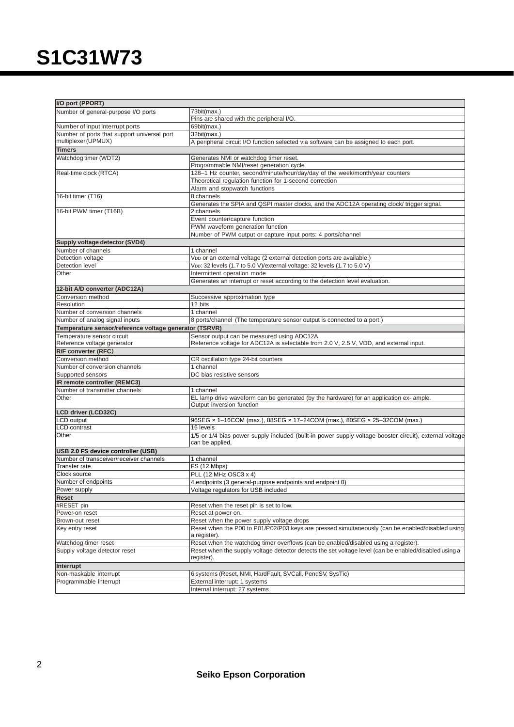| I/O port (PPORT)                                       |                                                                                                                      |  |  |  |  |
|--------------------------------------------------------|----------------------------------------------------------------------------------------------------------------------|--|--|--|--|
| Number of general-purpose I/O ports                    | 73bit(max.)                                                                                                          |  |  |  |  |
|                                                        | Pins are shared with the peripheral I/O.                                                                             |  |  |  |  |
| Number of input interrupt ports                        | 69bit(max.)                                                                                                          |  |  |  |  |
| Number of ports that support universal port            | 32bit(max.)                                                                                                          |  |  |  |  |
| multiplexer (UPMUX)                                    | A peripheral circuit I/O function selected via software can be assigned to each port.                                |  |  |  |  |
| <b>Timers</b>                                          |                                                                                                                      |  |  |  |  |
| Watchdog timer (WDT2)                                  | Generates NMI or watchdog timer reset.                                                                               |  |  |  |  |
|                                                        | Programmable NMI/reset generation cycle                                                                              |  |  |  |  |
| Real-time clock (RTCA)                                 | 128-1 Hz counter, second/minute/hour/day/day of the week/month/year counters                                         |  |  |  |  |
|                                                        | Theoretical regulation function for 1-second correction                                                              |  |  |  |  |
|                                                        | Alarm and stopwatch functions                                                                                        |  |  |  |  |
| 16-bit timer (T16)                                     | 8 channels                                                                                                           |  |  |  |  |
|                                                        | Generates the SPIA and QSPI master clocks, and the ADC12A operating clock/ trigger signal.                           |  |  |  |  |
| 16-bit PWM timer (T16B)                                | 2 channels                                                                                                           |  |  |  |  |
|                                                        | Event counter/capture function                                                                                       |  |  |  |  |
|                                                        | PWM waveform generation function                                                                                     |  |  |  |  |
|                                                        | Number of PWM output or capture input ports: 4 ports/channel                                                         |  |  |  |  |
| Supply voltage detector (SVD4)                         |                                                                                                                      |  |  |  |  |
| Number of channels                                     | 1 channel                                                                                                            |  |  |  |  |
| Detection voltage                                      | Vop or an external voltage (2 external detection ports are available.)                                               |  |  |  |  |
| Detection level                                        | VDD: 32 levels (1.7 to 5.0 V)/external voltage: 32 levels (1.7 to 5.0 V)                                             |  |  |  |  |
| Other                                                  | Intermittent operation mode                                                                                          |  |  |  |  |
|                                                        | Generates an interrupt or reset according to the detection level evaluation.                                         |  |  |  |  |
| 12-bit A/D converter (ADC12A)                          |                                                                                                                      |  |  |  |  |
| Conversion method                                      | Successive approximation type                                                                                        |  |  |  |  |
| Resolution                                             | 12 bits                                                                                                              |  |  |  |  |
| Number of conversion channels                          | 1 channel                                                                                                            |  |  |  |  |
| Number of analog signal inputs                         | 8 ports/channel (The temperature sensor output is connected to a port.)                                              |  |  |  |  |
| Temperature sensor/reference voltage generator (TSRVR) |                                                                                                                      |  |  |  |  |
| Temperature sensor circuit                             | Sensor output can be measured using ADC12A.                                                                          |  |  |  |  |
| Reference voltage generator                            | Reference voltage for ADC12A is selectable from 2.0 V, 2.5 V, VDD, and external input.                               |  |  |  |  |
| R/F converter (RFC)                                    |                                                                                                                      |  |  |  |  |
| Conversion method                                      | CR oscillation type 24-bit counters<br>1 channel                                                                     |  |  |  |  |
| Number of conversion channels<br>Supported sensors     | DC bias resistive sensors                                                                                            |  |  |  |  |
| IR remote controller (REMC3)                           |                                                                                                                      |  |  |  |  |
| Number of transmitter channels                         |                                                                                                                      |  |  |  |  |
| Other                                                  | 1 channel                                                                                                            |  |  |  |  |
|                                                        | EL lamp drive waveform can be generated (by the hardware) for an application ex- ample.<br>Output inversion function |  |  |  |  |
| <b>LCD driver (LCD32C)</b>                             |                                                                                                                      |  |  |  |  |
| CD output                                              | 96SEG x 1-16COM (max.), 88SEG x 17-24COM (max.), 80SEG x 25-32COM (max.)                                             |  |  |  |  |
| <b>CD</b> contrast                                     | 16 levels                                                                                                            |  |  |  |  |
| Other                                                  | 1/5 or 1/4 bias power supply included (built-in power supply voltage booster circuit), external voltage              |  |  |  |  |
|                                                        | can be applied,                                                                                                      |  |  |  |  |
| USB 2.0 FS device controller (USB)                     |                                                                                                                      |  |  |  |  |
| Number of transceiver/receiver channels                | 1 channel                                                                                                            |  |  |  |  |
| Transfer rate                                          | FS (12 Mbps)                                                                                                         |  |  |  |  |
| Clock source                                           | PLL (12 MHz OSC3 x 4)                                                                                                |  |  |  |  |
| Number of endpoints                                    | 4 endpoints (3 general-purpose endpoints and endpoint 0)                                                             |  |  |  |  |
| Power supply                                           | Voltage regulators for USB included                                                                                  |  |  |  |  |
| Reset                                                  |                                                                                                                      |  |  |  |  |
| #RESET pin                                             | Reset when the reset pin is set to low.                                                                              |  |  |  |  |
| Power-on reset                                         | Reset at power on.                                                                                                   |  |  |  |  |
| Brown-out reset                                        | Reset when the power supply voltage drops                                                                            |  |  |  |  |
| Key entry reset                                        | Reset when the P00 to P01/P02/P03 keys are pressed simultaneously (can be enabled/disabled using                     |  |  |  |  |
|                                                        | a register).                                                                                                         |  |  |  |  |
| Watchdog timer reset                                   | Reset when the watchdog timer overflows (can be enabled/disabled using a register).                                  |  |  |  |  |
| Supply voltage detector reset                          | Reset when the supply voltage detector detects the set voltage level (can be enabled/disabled using a                |  |  |  |  |
|                                                        | register).                                                                                                           |  |  |  |  |
| Interrupt                                              |                                                                                                                      |  |  |  |  |
| Non-maskable interrupt                                 | 6 systems (Reset, NMI, HardFault, SVCall, PendSV, SysTic)                                                            |  |  |  |  |
| Programmable interrupt                                 | External interrupt: 1 systems                                                                                        |  |  |  |  |
|                                                        | Internal interrupt: 27 systems                                                                                       |  |  |  |  |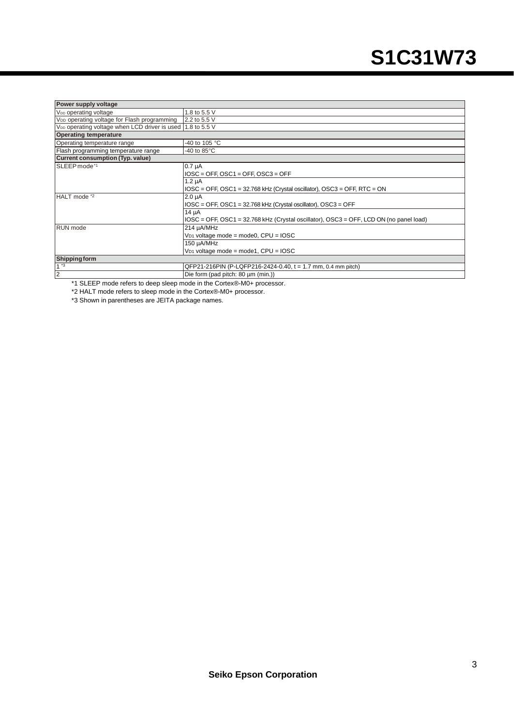| Power supply voltage                                                   |                                                                                                |  |  |  |  |
|------------------------------------------------------------------------|------------------------------------------------------------------------------------------------|--|--|--|--|
| V <sub>DD</sub> operating voltage                                      | 1.8 to 5.5 V                                                                                   |  |  |  |  |
| V <sub>DD</sub> operating voltage for Flash programming                | 2.2 to 5.5 V                                                                                   |  |  |  |  |
| V <sub>DD</sub> operating voltage when LCD driver is used 1.8 to 5.5 V |                                                                                                |  |  |  |  |
| <b>Operating temperature</b>                                           |                                                                                                |  |  |  |  |
| Operating temperature range                                            | -40 to 105 °C                                                                                  |  |  |  |  |
| Flash programming temperature range                                    | -40 to $85^{\circ}$ C                                                                          |  |  |  |  |
| <b>Current consumption (Typ. value)</b>                                |                                                                                                |  |  |  |  |
| SLEEP mode*1                                                           | $0.7 \mu A$                                                                                    |  |  |  |  |
|                                                                        | $IOSC = OFF$ , $OSC1 = OFF$ , $OSC3 = OFF$                                                     |  |  |  |  |
|                                                                        | $1.2 \mu A$                                                                                    |  |  |  |  |
|                                                                        | $IOSC = OFF$ , $OSC1 = 32.768$ kHz (Crystal oscillator), $OSC3 = OFF$ , RTC = ON               |  |  |  |  |
| HALT mode *2                                                           | $2.0 \mu A$                                                                                    |  |  |  |  |
|                                                                        | IOSC = OFF, OSC1 = 32.768 kHz (Crystal oscillator), OSC3 = OFF                                 |  |  |  |  |
|                                                                        | $14 \mu A$                                                                                     |  |  |  |  |
|                                                                        | $IOSC = OFF$ , $OSC1 = 32.768$ kHz (Crystal oscillator), $OSC3 = OFF$ , LCD ON (no panel load) |  |  |  |  |
| <b>RUN</b> mode                                                        | 214 µA/MHz                                                                                     |  |  |  |  |
|                                                                        | $V_{D1}$ voltage mode = mode0, CPU = IOSC                                                      |  |  |  |  |
|                                                                        | 150 µA/MHz                                                                                     |  |  |  |  |
|                                                                        | $V_{D1}$ voltage mode = mode1, CPU = IOSC                                                      |  |  |  |  |
| <b>Shipping form</b>                                                   |                                                                                                |  |  |  |  |
| $1^{*3}$                                                               | QFP21-216PIN (P-LQFP216-2424-0.40, t = 1.7 mm, 0.4 mm pitch)                                   |  |  |  |  |
| $\overline{2}$                                                         | Die form (pad pitch: 80 µm (min.))                                                             |  |  |  |  |

\*1 SLEEP mode refers to deep sleep mode in the Cortex®-M0+ processor.

\*2 HALT mode refers to sleep mode in the Cortex®-M0+ processor.

\*3 Shown in parentheses are JEITA package names.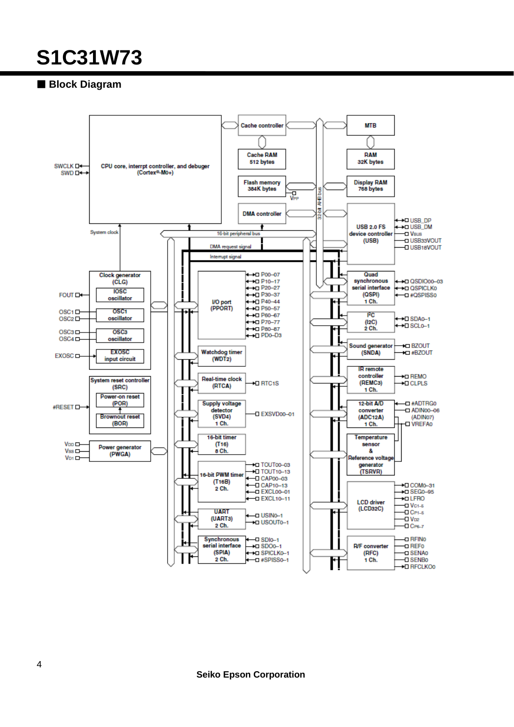### **Block Diagram**



**Seiko Epson Corporation**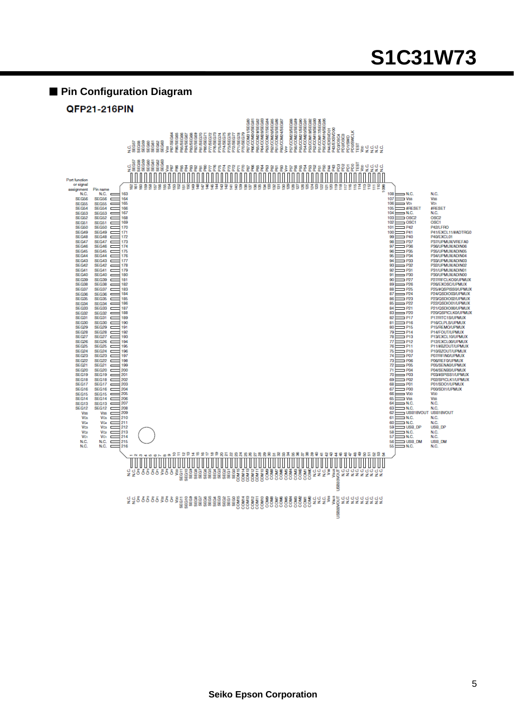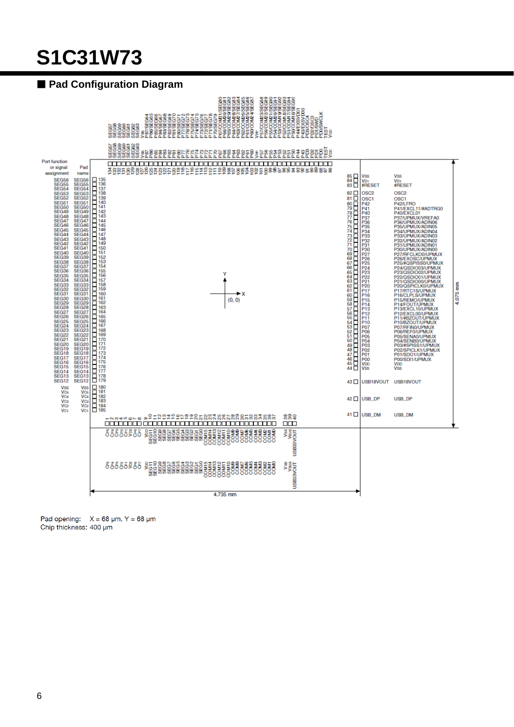### **Pad Configuration Diagram**



Pad opening:  $X = 68 \text{ µm}$ , Y = 68  $\text{µm}$ Chip thickness: 400 um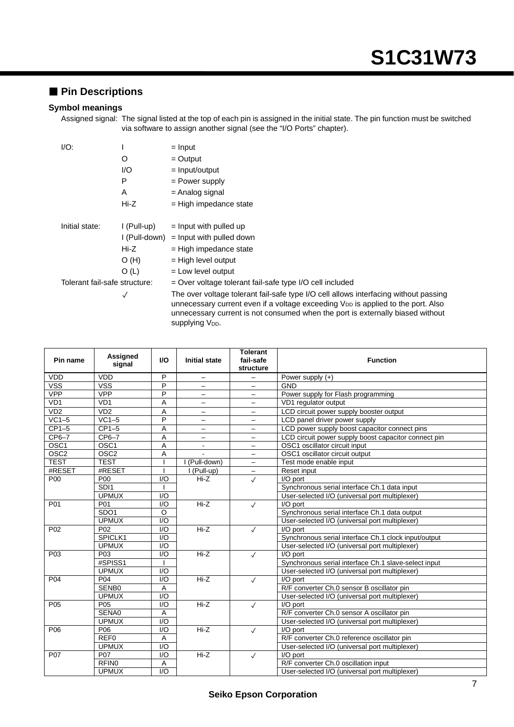### **Pin Descriptions**

#### **Symbol meanings**

Assigned signal: The signal listed at the top of each pin is assigned in the initial state. The pin function must be switched via software to assign another signal (see the "I/O Ports" chapter).

| IO:                           |             | $=$ Input                                                                                                                                                                   |
|-------------------------------|-------------|-----------------------------------------------------------------------------------------------------------------------------------------------------------------------------|
|                               | O           | $=$ Output                                                                                                                                                                  |
|                               | 1/O         | $=$ Input/output                                                                                                                                                            |
|                               | Р           | = Power supply                                                                                                                                                              |
|                               | A           | = Analog signal                                                                                                                                                             |
|                               | Hi-Z        | $=$ High impedance state                                                                                                                                                    |
|                               |             |                                                                                                                                                                             |
| Initial state:                | I (Pull-up) | $=$ Input with pulled up                                                                                                                                                    |
|                               |             | $I(Pull-down) = Input with pulled down$                                                                                                                                     |
|                               | Hi-Z        | $=$ High impedance state                                                                                                                                                    |
|                               | O(H)        | $=$ High level output                                                                                                                                                       |
|                               | O(L)        | $=$ Low level output                                                                                                                                                        |
| Tolerant fail-safe structure: |             | = Over voltage tolerant fail-safe type I/O cell included                                                                                                                    |
|                               |             | The over voltage tolerant fail-safe type I/O cell allows<br>unnecessary current even if a voltage exceeding $V_{DD}$<br>unnecessary current is not consumed when the port i |

allows interfacing without passing ng V<sub>DD</sub> is applied to the port. Also e port is externally biased without supplying V<sub>DD</sub>.

| Pin name         | <b>Assigned</b><br>signal | <b>I/O</b>       | <b>Initial state</b>     | <b>Tolerant</b><br>fail-safe<br>structure | <b>Function</b>                                      |
|------------------|---------------------------|------------------|--------------------------|-------------------------------------------|------------------------------------------------------|
| <b>VDD</b>       | <b>VDD</b>                | P                | -                        | $\overline{\phantom{0}}$                  | Power supply $(+)$                                   |
| VSS              | <b>VSS</b>                | P                | $\qquad \qquad -$        | $\overline{\phantom{0}}$                  | <b>GND</b>                                           |
| <b>VPP</b>       | <b>VPP</b>                | $\overline{P}$   | -                        | -                                         | Power supply for Flash programming                   |
| VD <sub>1</sub>  | VD <sub>1</sub>           | A                | $\overline{\phantom{0}}$ | $\overline{\phantom{0}}$                  | VD1 regulator output                                 |
| VD2              | VD2                       | A                | -                        | -                                         | LCD circuit power supply booster output              |
| $VC1-5$          | $VC1-5$                   | P                | -                        | $\overline{\phantom{0}}$                  | LCD panel driver power supply                        |
| $CP1-5$          | $CP1-5$                   | A                | $\overline{\phantom{0}}$ | $\overline{\phantom{0}}$                  | LCD power supply boost capacitor connect pins        |
| $CP6-7$          | $CP6-7$                   | $\overline{A}$   | $\overline{\phantom{0}}$ | $\overline{\phantom{0}}$                  | LCD circuit power supply boost capacitor connect pin |
| OSC <sub>1</sub> | OSC <sub>1</sub>          | A                | $\blacksquare$           | $\overline{\phantom{0}}$                  | OSC1 oscillator circuit input                        |
| OSC <sub>2</sub> | OSC <sub>2</sub>          | A                |                          | $\qquad \qquad -$                         | OSC1 oscillator circuit output                       |
| <b>TEST</b>      | <b>TEST</b>               |                  | I (Pull-down)            | $\overline{\phantom{0}}$                  | Test mode enable input                               |
| #RESET           | #RESET                    |                  | (Pull-up)                |                                           | Reset input                                          |
| P <sub>00</sub>  | <b>P00</b>                | $\overline{1/O}$ | $Hi-Z$                   | $\checkmark$                              | I/O port                                             |
|                  | SDI <sub>1</sub>          |                  |                          |                                           | Synchronous serial interface Ch.1 data input         |
|                  | <b>UPMUX</b>              | I/O              |                          |                                           | User-selected I/O (universal port multiplexer)       |
| P01              | P <sub>01</sub>           | I/O              | $Hi-Z$                   | $\sqrt{}$                                 | I/O port                                             |
|                  | SDO <sub>1</sub>          | O                |                          |                                           | Synchronous serial interface Ch.1 data output        |
|                  | <b>UPMUX</b>              | 1/O              |                          |                                           | User-selected I/O (universal port multiplexer)       |
| P <sub>02</sub>  | P <sub>02</sub>           | I/O              | $Hi-Z$                   | $\checkmark$                              | I/O port                                             |
|                  | SPICLK1                   | I/O              |                          |                                           | Synchronous serial interface Ch.1 clock input/output |
|                  | <b>UPMUX</b>              | I/O              |                          |                                           | User-selected I/O (universal port multiplexer)       |
| P03              | P03                       | I/O              | $Hi-Z$                   | $\checkmark$                              | I/O port                                             |
|                  | #SPISS1                   |                  |                          |                                           | Synchronous serial interface Ch.1 slave-select input |
|                  | <b>UPMUX</b>              | I/O              |                          |                                           | User-selected I/O (universal port multiplexer)       |
| P <sub>04</sub>  | P04                       | I/O              | $Hi-Z$                   | $\checkmark$                              | I/O port                                             |
|                  | SENB0                     | A                |                          |                                           | R/F converter Ch.0 sensor B oscillator pin           |
|                  | <b>UPMUX</b>              | I/O              |                          |                                           | User-selected I/O (universal port multiplexer)       |
| P05              | P05                       | I/O              | $Hi-Z$                   | $\sqrt{}$                                 | I/O port                                             |
|                  | SENA0                     | A                |                          |                                           | R/F converter Ch.0 sensor A oscillator pin           |
|                  | <b>UPMUX</b>              | 1/O              |                          |                                           | User-selected I/O (universal port multiplexer)       |
| P06              | P06                       | I/O              | $Hi-Z$                   | $\checkmark$                              | I/O port                                             |
|                  | REF <sub>0</sub>          | Α                |                          |                                           | R/F converter Ch.0 reference oscillator pin          |
|                  | <b>UPMUX</b>              | I/O              |                          |                                           | User-selected I/O (universal port multiplexer)       |
| P07              | P07                       | I/O              | $Hi-Z$                   | $\checkmark$                              | I/O port                                             |
|                  | RFIN <sub>0</sub>         | А                |                          |                                           | R/F converter Ch.0 oscillation input                 |
|                  | <b>UPMUX</b>              | $\overline{1/O}$ |                          |                                           | User-selected I/O (universal port multiplexer)       |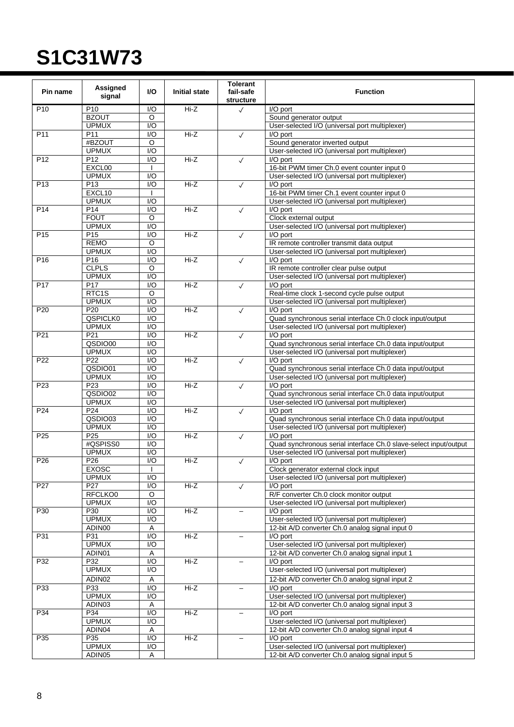| Pin name        | Assigned<br>signal  | VO.                     | <b>Initial state</b> | <b>Tolerant</b><br>fail-safe<br>structure | <b>Function</b>                                                      |
|-----------------|---------------------|-------------------------|----------------------|-------------------------------------------|----------------------------------------------------------------------|
| P <sub>10</sub> | P <sub>10</sub>     | I/O                     | $Hi-Z$               | $\checkmark$                              | I/O port                                                             |
|                 | <b>BZOUT</b>        | O                       |                      |                                           | Sound generator output                                               |
|                 | <b>UPMUX</b>        | $\overline{1/O}$        |                      |                                           | User-selected I/O (universal port multiplexer)                       |
| P <sub>11</sub> | P <sub>11</sub>     | I/O                     | $Hi-Z$               | $\checkmark$                              | I/O port                                                             |
|                 | #BZOUT              | O                       |                      |                                           | Sound generator inverted output                                      |
|                 | <b>UPMUX</b>        | $\overline{1/O}$        |                      |                                           | User-selected I/O (universal port multiplexer)                       |
| P <sub>12</sub> | P <sub>12</sub>     | I/O                     | Hi-Z                 | $\checkmark$                              | I/O port                                                             |
|                 | EXCL00              |                         |                      |                                           | 16-bit PWM timer Ch.0 event counter input 0                          |
|                 | <b>UPMUX</b>        | I/O                     |                      |                                           | User-selected I/O (universal port multiplexer)                       |
| P <sub>13</sub> | P <sub>13</sub>     | I/O                     | Hi-Z                 | $\checkmark$                              | I/O port                                                             |
|                 | EXCL10              |                         |                      |                                           | 16-bit PWM timer Ch.1 event counter input 0                          |
|                 | <b>UPMUX</b>        | $\overline{1/O}$        | HiZ                  |                                           | User-selected I/O (universal port multiplexer)                       |
| P <sub>14</sub> | P14<br><b>FOUT</b>  | I/O<br>O                |                      | $\checkmark$                              | I/O port<br>Clock external output                                    |
|                 | <b>UPMUX</b>        | I/O                     |                      |                                           | User-selected I/O (universal port multiplexer)                       |
| P <sub>15</sub> | P <sub>15</sub>     | $\overline{1/O}$        | Hi-Z                 | $\checkmark$                              | I/O port                                                             |
|                 | <b>REMO</b>         | $\circ$                 |                      |                                           | IR remote controller transmit data output                            |
|                 | <b>UPMUX</b>        | I/O                     |                      |                                           | User-selected I/O (universal port multiplexer)                       |
| P <sub>16</sub> | P <sub>16</sub>     | I/O                     | $Hi-Z$               | $\checkmark$                              | I/O port                                                             |
|                 | <b>CLPLS</b>        | O                       |                      |                                           | IR remote controller clear pulse output                              |
|                 | <b>UPMUX</b>        | $\overline{1/O}$        |                      |                                           | User-selected I/O (universal port multiplexer)                       |
| P <sub>17</sub> | P <sub>17</sub>     | I/O                     | $Hi-Z$               | $\checkmark$                              | I/O port                                                             |
|                 | RTC1S               | O                       |                      |                                           | Real-time clock 1-second cycle pulse output                          |
|                 | <b>UPMUX</b>        | I/O                     |                      |                                           | User-selected I/O (universal port multiplexer)                       |
| P <sub>20</sub> | P <sub>20</sub>     | $\overline{1/O}$        | $Hi-Z$               | $\checkmark$                              | I/O port                                                             |
|                 | QSPICLK0            | I/O                     |                      |                                           | Quad synchronous serial interface Ch.0 clock input/output            |
|                 | <b>UPMUX</b>        | I/O                     |                      |                                           | User-selected I/O (universal port multiplexer)                       |
| P21             | P <sub>21</sub>     | $\overline{1/O}$        | $Hi-Z$               | $\checkmark$                              | I/O port                                                             |
|                 | QSDIO00             | I/O                     |                      |                                           | Quad synchronous serial interface Ch.0 data input/output             |
|                 | <b>UPMUX</b>        | $\overline{1/O}$        |                      |                                           | User-selected I/O (universal port multiplexer)                       |
| P22             | P22                 | I/O                     | Hi-Z                 | $\checkmark$                              | I/O port                                                             |
|                 | QSDIO01             | I/O                     |                      |                                           | Quad synchronous serial interface Ch.0 data input/output             |
|                 | <b>UPMUX</b>        | $\overline{1/O}$        |                      |                                           | User-selected I/O (universal port multiplexer)                       |
| P <sub>23</sub> | P23                 | I/O                     | $Hi-Z$               | $\checkmark$                              | I/O port                                                             |
|                 | QSDIO02             | $\overline{1/O}$        |                      |                                           | Quad synchronous serial interface Ch.0 data input/output             |
| P24             | <b>UPMUX</b><br>P24 | I/O<br>$\overline{1/O}$ | $Hi-Z$               |                                           | User-selected I/O (universal port multiplexer)                       |
|                 | QSDIO03             | I/O                     |                      | $\checkmark$                              | I/O port<br>Quad synchronous serial interface Ch.0 data input/output |
|                 | <b>UPMUX</b>        | I/O                     |                      |                                           | User-selected I/O (universal port multiplexer)                       |
| P <sub>25</sub> | P <sub>25</sub>     | I/O                     | $Hi-Z$               | $\checkmark$                              | I/O port                                                             |
|                 | #QSPISS0            | I/O                     |                      |                                           | Quad synchronous serial interface Ch.0 slave-select input/output     |
|                 | <b>UPMUX</b>        | I/O                     |                      |                                           | User-selected I/O (universal port multiplexer)                       |
| P <sub>26</sub> | P <sub>26</sub>     | $\overline{1/O}$        | $Hi-Z$               | $\checkmark$                              | I/O port                                                             |
|                 | EXOSC               |                         |                      |                                           | Clock generator external clock input                                 |
|                 | <b>UPMUX</b>        | I/O                     |                      |                                           | User-selected I/O (universal port multiplexer)                       |
| P27             | P27                 | $\overline{10}$         | Hi-Z                 | $\checkmark$                              | I/O port                                                             |
|                 | RFCLKO0             | O                       |                      |                                           | R/F converter Ch.0 clock monitor output                              |
|                 | <b>UPMUX</b>        | $\overline{1/O}$        |                      |                                           | User-selected I/O (universal port multiplexer)                       |
| P30             | P30                 | $\overline{1/O}$        | $Hi-Z$               | $\overline{\phantom{0}}$                  | I/O port                                                             |
|                 | <b>UPMUX</b>        | $\overline{1/O}$        |                      |                                           | User-selected I/O (universal port multiplexer)                       |
|                 | ADIN00              | $\overline{A}$          |                      |                                           | 12-bit A/D converter Ch.0 analog signal input 0                      |
| P31             | P31                 | I/O                     | $Hi-Z$               | $\overline{\phantom{0}}$                  | I/O port                                                             |
|                 | <b>UPMUX</b>        | I/O                     |                      |                                           | User-selected I/O (universal port multiplexer)                       |
|                 | ADIN <sub>01</sub>  | Α                       |                      |                                           | 12-bit A/D converter Ch.0 analog signal input 1                      |
| P32             | P32                 | I/O                     | Hi-Z                 |                                           | I/O port                                                             |
|                 | <b>UPMUX</b>        | I/O                     |                      |                                           | User-selected I/O (universal port multiplexer)                       |
|                 | ADIN02              | $\overline{A}$          |                      |                                           | 12-bit A/D converter Ch.0 analog signal input 2                      |
| P33             | P33                 | I/O                     | $Hi-Z$               | $\overline{\phantom{0}}$                  | I/O port                                                             |
|                 | <b>UPMUX</b>        | I/O                     |                      |                                           | User-selected I/O (universal port multiplexer)                       |
|                 | ADIN03              | Α                       |                      |                                           | 12-bit A/D converter Ch.0 analog signal input 3                      |
| P34             | P34                 | I/O                     | Hi-Z                 |                                           | I/O port                                                             |
|                 | <b>UPMUX</b>        | I/O                     |                      |                                           | User-selected I/O (universal port multiplexer)                       |
|                 | ADIN04              | Α                       |                      |                                           | 12-bit A/D converter Ch.0 analog signal input 4                      |
| P35             | P35                 | $\overline{1/O}$        | $Hi-Z$               |                                           | I/O port                                                             |
|                 | <b>UPMUX</b>        | I/O                     |                      |                                           | User-selected I/O (universal port multiplexer)                       |
|                 | ADIN05              | Α                       |                      |                                           | 12-bit A/D converter Ch.0 analog signal input 5                      |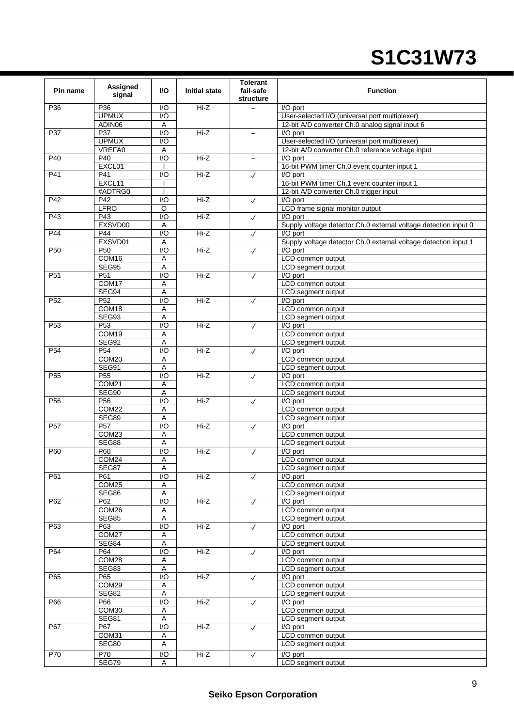| Pin name        | <b>Assigned</b><br>signal | I/O                     | <b>Initial state</b> | <b>Tolerant</b><br>fail-safe<br>structure | <b>Function</b>                                                 |
|-----------------|---------------------------|-------------------------|----------------------|-------------------------------------------|-----------------------------------------------------------------|
| P36             | P36                       | I/O                     | Hi-Z                 |                                           | I/O port                                                        |
|                 | <b>UPMUX</b>              | I/O                     |                      |                                           | User-selected I/O (universal port multiplexer)                  |
|                 | ADIN06                    | Α                       |                      |                                           | 12-bit A/D converter Ch.0 analog signal input 6                 |
| P37             | P37                       | 1/O                     | $Hi-Z$               |                                           | I/O port                                                        |
|                 | <b>UPMUX</b>              | I/O                     |                      |                                           | User-selected I/O (universal port multiplexer)                  |
|                 | VREFA0                    | Α                       |                      |                                           | 12-bit A/D converter Ch.0 reference voltage input               |
| P40             | P40                       | 1/O                     | $H - Z$              | $-$                                       | I/O port                                                        |
|                 | EXCL01                    |                         |                      |                                           | 16-bit PWM timer Ch.0 event counter input 1                     |
| P41             | P41                       | I/O                     | $Hi-Z$               | $\checkmark$                              | I/O port                                                        |
|                 | EXCL11                    |                         |                      |                                           | 16-bit PWM timer Ch.1 event counter input 1                     |
|                 | #ADTRG0                   |                         |                      |                                           |                                                                 |
| P42             | P42                       | $\overline{1/O}$        | $Hi-Z$               |                                           | 12-bit A/D converter Ch.0 trigger input<br>I/O port             |
|                 | <b>LFRO</b>               | O                       |                      | $\checkmark$                              | LCD frame signal monitor output                                 |
|                 |                           |                         |                      |                                           |                                                                 |
| P43             | P43                       | $\overline{1/O}$        | $Hi-Z$               | $\checkmark$                              | I/O port                                                        |
|                 | EXSVD00                   | A                       |                      |                                           | Supply voltage detector Ch.0 external voltage detection input 0 |
| P44             | P44                       | I/O                     | Hi-Z                 | $\checkmark$                              | I/O port                                                        |
|                 | EXSVD01                   | Α                       |                      |                                           | Supply voltage detector Ch.0 external voltage detection input 1 |
| P <sub>50</sub> | P <sub>50</sub>           | $\overline{1/O}$        | $Hi-Z$               | $\checkmark$                              | I/O port                                                        |
|                 | COM <sub>16</sub>         | Α                       |                      |                                           | LCD common output                                               |
|                 | SEG95                     | Α                       |                      |                                           | LCD segment output                                              |
| P <sub>51</sub> | P <sub>51</sub>           | $\overline{1/O}$        | $Hi-Z$               | $\checkmark$                              | I/O port                                                        |
|                 | COM <sub>17</sub>         | A                       |                      |                                           | LCD common output                                               |
|                 | SEG94                     | A                       |                      |                                           | LCD segment output                                              |
| P <sub>52</sub> | P <sub>52</sub>           | I/O                     | $Hi-Z$               | $\checkmark$                              | I/O port                                                        |
|                 | COM18                     | A                       |                      |                                           | LCD common output                                               |
|                 | <b>SEG93</b>              | Α                       |                      |                                           | LCD segment output                                              |
| P <sub>53</sub> | P <sub>53</sub>           | 1/O                     | Hi-Z                 | $\checkmark$                              | I/O port                                                        |
|                 | COM19                     | Α                       |                      |                                           | LCD common output                                               |
|                 | SEG92                     | Α                       |                      |                                           | LCD segment output                                              |
| P <sub>54</sub> | P <sub>54</sub>           | $\overline{1/O}$        | $Hi-Z$               | $\checkmark$                              | I/O port                                                        |
|                 | COM20                     | Α                       |                      |                                           | LCD common output                                               |
|                 | SEG91                     | A                       |                      |                                           | LCD segment output                                              |
| P <sub>55</sub> | P <sub>55</sub>           | I/O                     | $Hi-Z$               |                                           |                                                                 |
|                 |                           |                         |                      | $\checkmark$                              | I/O port                                                        |
|                 | COM21                     | Α                       |                      |                                           | LCD common output                                               |
|                 | SEG90                     | Α                       |                      |                                           | LCD segment output                                              |
| P <sub>56</sub> | P <sub>56</sub>           | $\overline{1/O}$        | $Hi-Z$               | $\checkmark$                              | I/O port                                                        |
|                 | COM22                     | Α                       |                      |                                           | LCD common output                                               |
|                 | SEG89                     | A                       |                      |                                           | LCD segment output                                              |
| P <sub>57</sub> | P <sub>57</sub>           | $\overline{1/O}$        | $Hi-Z$               | $\checkmark$                              | I/O port                                                        |
|                 | COM23                     | Α                       |                      |                                           | LCD common output                                               |
|                 | SEG88                     | A                       |                      |                                           | LCD segment output                                              |
| P60             | P60                       | I/O                     | Hi-Z                 | $\checkmark$                              | I/O port                                                        |
|                 | COM24                     | Α                       |                      |                                           | LCD common output                                               |
|                 | SEG87                     | A                       |                      |                                           | LCD segment output                                              |
| P61             | P61                       | $\overline{1/O}$        | Hi-Z                 | $\checkmark$                              | I/O port                                                        |
|                 | COM25                     | Α                       |                      |                                           | LCD common output                                               |
|                 | SEG86                     | Α                       |                      |                                           | LCD segment output                                              |
| P62             | P62                       | I/O                     | Hi-Z                 | $\checkmark$                              | I/O port                                                        |
|                 | COM26                     | A                       |                      |                                           | LCD common output                                               |
|                 | SEG85                     | Α                       |                      |                                           | LCD segment output                                              |
| P63             | P63                       | $\overline{1/O}$        | $Hi-Z$               | $\checkmark$                              | I/O port                                                        |
|                 | COM27                     | $\mathsf A$             |                      |                                           | LCD common output                                               |
|                 | SEG84                     | $\overline{A}$          |                      |                                           | LCD segment output                                              |
| P64             | P64                       | $\overline{1/O}$        | Hi-Z                 | $\checkmark$                              | I/O port                                                        |
|                 | COM28                     | Α                       |                      |                                           | LCD common output                                               |
|                 | SEG83                     | Α                       |                      |                                           | LCD segment output                                              |
|                 |                           | 1/O                     |                      |                                           |                                                                 |
| P65             | P65                       |                         | Hi-Z                 | $\checkmark$                              | I/O port                                                        |
|                 | COM29                     | Α                       |                      |                                           | LCD common output                                               |
|                 | SEG82                     | $\overline{A}$          |                      |                                           | LCD segment output                                              |
| P66             | P66                       | 1/O                     | Hi-Z                 | $\checkmark$                              | I/O port                                                        |
|                 | COM30                     | Α                       |                      |                                           | LCD common output                                               |
|                 | SEG81                     | A                       |                      |                                           | LCD segment output                                              |
| P67             | P67                       | I/O                     | Hi-Z                 | $\checkmark$                              | I/O port                                                        |
|                 | COM31                     | Α                       |                      |                                           | LCD common output                                               |
|                 | <b>SEG80</b>              | A                       |                      |                                           | LCD segment output                                              |
| P70             | P70                       | $\mathsf{I}/\mathsf{O}$ | Hi-Z                 | $\checkmark$                              | I/O port                                                        |
|                 | SEG79                     | Α                       |                      |                                           | LCD segment output                                              |
|                 |                           |                         |                      |                                           |                                                                 |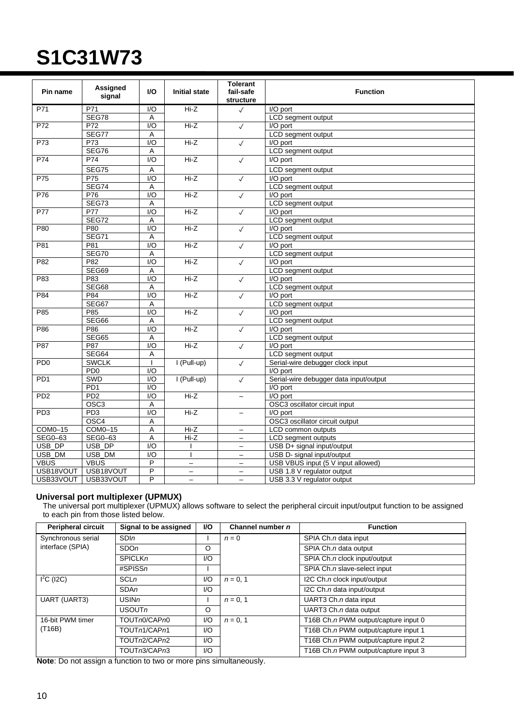| Pin name        | Assigned<br>signal | <b>VO</b>        | <b>Initial state</b> | <b>Tolerant</b><br>fail-safe<br>structure | <b>Function</b>                        |
|-----------------|--------------------|------------------|----------------------|-------------------------------------------|----------------------------------------|
| P71             | P71                | 1/O              | $Hi-Z$               | $\sqrt{ }$                                | I/O port                               |
|                 | SEG78              | Α                |                      |                                           | LCD segment output                     |
| P72             | P72                | $\overline{1/O}$ | $Hi-Z$               | $\checkmark$                              | I/O port                               |
|                 | SEG77              | A                |                      |                                           | LCD segment output                     |
| P73             | P73                | $\overline{1/O}$ | $Hi-Z$               | $\sqrt{}$                                 | I/O port                               |
|                 | SEG76              | A                |                      |                                           | LCD segment output                     |
| P74             | P74                | $\overline{1/O}$ | $Hi-Z$               | $\sqrt{ }$                                | I/O port                               |
|                 | <b>SEG75</b>       | A                |                      |                                           | LCD segment output                     |
| P75             | P75                | $\overline{1/O}$ | $Hi-Z$               | $\checkmark$                              | I/O port                               |
|                 | <b>SEG74</b>       | Α                |                      |                                           | LCD segment output                     |
| P76             | P76                | $\overline{1/O}$ | $Hi-Z$               | $\sqrt{}$                                 | I/O port                               |
|                 | SEG73              | Α                |                      |                                           | LCD segment output                     |
| P77             | <b>P77</b>         | $\overline{1/O}$ | $Hi-Z$               | $\sqrt{}$                                 | I/O port                               |
|                 | <b>SEG72</b>       | A                |                      |                                           | LCD segment output                     |
| P80             | P80                | 1/O              | $Hi-Z$               | $\checkmark$                              | I/O port                               |
|                 | <b>SEG71</b>       | Α                |                      |                                           | LCD segment output                     |
| P81             | P81                | 1/O              | Hi-Z                 | $\sqrt{2}$                                | I/O port                               |
|                 | <b>SEG70</b>       | A                |                      |                                           | LCD segment output                     |
| P82             | P82                | $\overline{1/O}$ | $Hi-Z$               | $\checkmark$                              | I/O port                               |
|                 | SEG69              | Α                |                      |                                           | LCD segment output                     |
| P83             | P83                | $\overline{1/O}$ | $Hi-Z$               | $\checkmark$                              | I/O port                               |
|                 | SEG68              | A                |                      |                                           | LCD segment output                     |
| P84             | P84                | I/O              | $Hi-Z$               | $\checkmark$                              | I/O port                               |
|                 | SEG67              | A                |                      |                                           | LCD segment output                     |
| P85             | P85                | $\overline{1/O}$ | $Hi-Z$               | $\sqrt{}$                                 | I/O port                               |
|                 | SEG66              | A                |                      |                                           | LCD segment output                     |
| P86             | P86                | $\overline{1/O}$ | $Hi-Z$               | $\checkmark$                              | I/O port                               |
|                 | <b>SEG65</b>       | Α                |                      |                                           | LCD segment output                     |
| P87             | P87                | $\overline{1/O}$ | $Hi-Z$               | $\checkmark$                              | I/O port                               |
|                 | SEG64              | A                |                      |                                           | LCD segment output                     |
| PD <sub>0</sub> | <b>SWCLK</b>       | T                | $I$ (Pull-up)        | $\checkmark$                              | Serial-wire debugger clock input       |
|                 | PD <sub>0</sub>    | $\overline{1/O}$ |                      |                                           | I/O port                               |
| PD <sub>1</sub> | SWD                | $\overline{1/O}$ | $I$ (Pull-up)        | $\checkmark$                              | Serial-wire debugger data input/output |
|                 | PD <sub>1</sub>    | $\overline{1/O}$ |                      |                                           | I/O port                               |
| PD <sub>2</sub> | PD2                | 1/O              | $Hi-Z$               | $\qquad \qquad -$                         | I/O port                               |
|                 | OSC <sub>3</sub>   | A                |                      |                                           | OSC3 oscillator circuit input          |
| PD3             | PD <sub>3</sub>    | $\overline{1/O}$ | $Hi-Z$               | $\qquad \qquad -$                         | I/O port                               |
|                 | OSC <sub>4</sub>   | A                |                      |                                           | OSC3 oscillator circuit output         |
| COM0-15         | $COM0-15$          | Α                | $Hi-Z$               | -                                         | LCD common outputs                     |
| SEG0-63         | SEG0-63            | A                | $Hi-Z$               |                                           | LCD segment outputs                    |
| USB_DP          | USB_DP             | $\overline{1/O}$ |                      | $\qquad \qquad -$                         | USB D+ signal input/output             |
| USB_DM          | USB_DM             | I/O              |                      | $\overline{\phantom{m}}$                  | USB D- signal input/output             |
| <b>VBUS</b>     | <b>VBUS</b>        | P                | $\equiv$             | $\equiv$                                  | USB VBUS input (5 V input allowed)     |
| USB18VOUT       | USB18VOUT          | P                | $\qquad \qquad -$    | $\qquad \qquad -$                         | USB 1.8 V regulator output             |
| USB33VOUT       | USB33VOUT          | P                | $\equiv$             | $\overline{\phantom{0}}$                  | USB 3.3 V regulator output             |

#### **Universal port multiplexer (UPMUX)**

The universal port multiplexer (UPMUX) allows software to select the peripheral circuit input/output function to be assigned to each pin from those listed below.

| <b>Peripheral circuit</b> | Signal to be assigned | VO.                    | Channel number n | <b>Function</b>                      |
|---------------------------|-----------------------|------------------------|------------------|--------------------------------------|
| Synchronous serial        | SDIn                  |                        | $n = 0$          | SPIA Ch.n data input                 |
| interface (SPIA)          | SDO <sub>n</sub>      | O                      |                  | SPIA Ch.n data output                |
|                           | <b>SPICLKn</b>        | $\mathsf{U}\mathsf{O}$ |                  | SPIA Ch.n clock input/output         |
|                           | $\#SPISSn$            |                        |                  | SPIA Ch.n slave-select input         |
| $I2C$ (I2C)               | <b>SCLn</b>           | I/O                    | $n = 0, 1$       | I2C Ch.n clock input/output          |
|                           | <b>SDAn</b>           | I/O                    |                  | I2C Ch.n data input/output           |
| <b>UART (UART3)</b>       | USINn                 |                        | $n = 0, 1$       | UART3 Ch.n data input                |
|                           | USOUTn                | O                      |                  | UART3 Ch.n data output               |
| 16-bit PWM timer          | TOUTn0/CAPn0          | 1/O                    | $n = 0.1$        | T16B Ch.n PWM output/capture input 0 |
| (T16B)                    | TOUTn1/CAPn1          | $\mathsf{U}\mathsf{O}$ |                  | T16B Ch.n PWM output/capture input 1 |
|                           | TOUTn2/CAPn2          | 1/O                    |                  | T16B Ch.n PWM output/capture input 2 |
|                           | TOUTn3/CAPn3          | 1/O                    |                  | T16B Ch.n PWM output/capture input 3 |

**Note**: Do not assign a function to two or more pins simultaneously.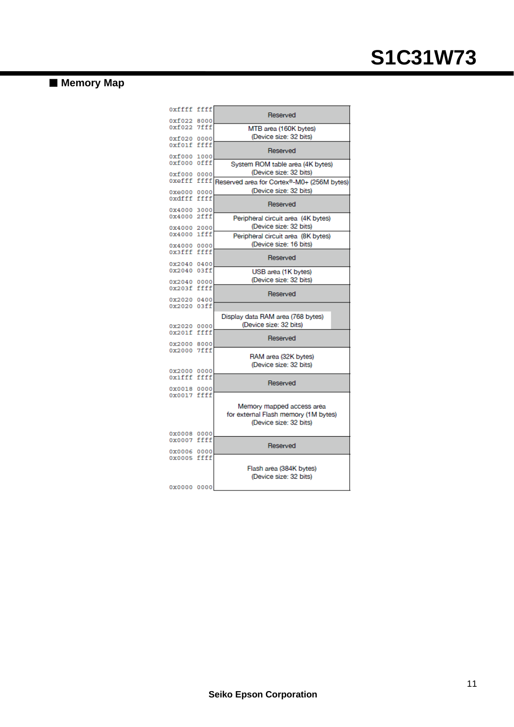### **Memory Map**

| OXffff ffff |      | Reserved                                   |
|-------------|------|--------------------------------------------|
| 0xf022      | 8000 |                                            |
| 0xf022      | 7fff | MTB area (160K bytes)                      |
|             |      | (Device size: 32 bits)                     |
| 0xf020      | 0000 |                                            |
| 0xf01f      | ffff |                                            |
| 0xf000      |      | Reserved                                   |
|             | 1000 |                                            |
| 0xf000 Offf |      | System ROM table area (4K bytes)           |
| 0xf000      | 0000 | (Device size: 32 bits)                     |
| 0xefff      | ffff | Reserved area for Cortex®-M0+ (256M bytes) |
|             |      |                                            |
| 0xe000      | 0000 | (Device size: 32 bits)                     |
| oxdfff      | ffff |                                            |
|             |      | Reserved                                   |
| 0x4000      | 3000 |                                            |
| 0x4000 2fff |      | Peripheral circuit area (4K bytes)         |
|             |      |                                            |
| 0x4000      | 2000 | (Device size: 32 bits)                     |
| 0x4000      | 1fff | Peripheral circuit area (8K bytes)         |
|             |      | (Device size: 16 bits)                     |
| 0x4000      | 0000 |                                            |
| 0x3fff      | ffff | Reserved                                   |
| 0x2040      | 0400 |                                            |
| 0x2040      | 03ff |                                            |
|             |      | USB area (1K bytes)                        |
| 0x2040 0000 |      | (Device size: 32 bits)                     |
| 0x203f ffff |      |                                            |
|             |      | Reserved                                   |
| 0x2020 0400 |      |                                            |
| 0x2020      | 03ff |                                            |
|             |      |                                            |
|             |      | Display data RAM area (768 bytes)          |
| 0x2020      | 0000 | (Device size: 32 bits)                     |
| 0x201f      | ffff |                                            |
|             |      | Reserved                                   |
| 0x2000      | 8000 |                                            |
| 0x2000 7fff |      |                                            |
|             |      | RAM area (32K bytes)                       |
|             |      | (Device size: 32 bits)                     |
| 0x2000      | 0000 |                                            |
| 0x1fff      | ffff |                                            |
|             |      | Reserved                                   |
| 0x0018 0000 |      |                                            |
| 0x0017 ffff |      |                                            |
|             |      |                                            |
|             |      | Memory mapped access area                  |
|             |      | for external Flash memory (1M bytes)       |
|             |      | (Device size: 32 bits)                     |
|             |      |                                            |
| 0x0008 0000 |      |                                            |
| 0x0007 ffff |      |                                            |
|             |      | Reserved                                   |
| 0x0006      | 0000 |                                            |
| 0x0005 ffff |      |                                            |
|             |      | Flash area (384K bytes)                    |
|             |      |                                            |
|             |      | (Device size: 32 bits)                     |
| 0x0000 0000 |      |                                            |
|             |      |                                            |